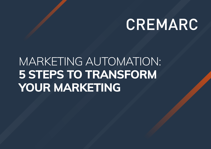# CREMARC

## MARKETING AUTOMATION: **5 STEPS TO TRANSFORM YOUR MARKETING**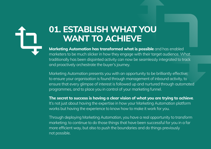#### **01. ESTABLISH WHAT YOU WANT TO ACHIEVE**

**Marketing Automation has transformed what is possible** and has enabled marketers to be much slicker in how they engage with their target audience. What traditionally has been disjointed activity can now be seamlessly integrated to track and proactively orchestrate the buyer's journey.

Marketing Automation presents you with an opportunity to be brilliantly effective; to ensure your organisation is found through management of inbound activity, to ensure that every glimpse of interest is followed up and nurtured through automated programmes, and to place you in control of your marketing funnel.

**The secret to success is having a clear vision of what you are trying to achieve**. It's not just about having the expertise in how your Marketing Automation platform works but having the experience to know how to make it work for you.

Through deploying Marketing Automation, you have a real opportunity to transform marketing; to continue to do those things that have been successful for you in a far more efficient way, but also to push the boundaries and do things previously not possible.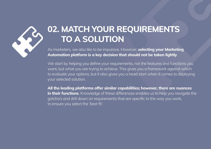

#### **02. MATCH YOUR REQUIREMENTS TO A SOLUTION**

As marketers, we also like to be impulsive. However, **selecting your Marketing Automation platform is a key decision that should not be taken lightly**.

We start by helping you define your requirements, not the features and functions you want, but what you are trying to achieve. This gives you a framework against which to evaluate your options, but it also gives you a head start when it comes to deploying your selected solution.

**All the leading platforms offer similar capabilities; however, there are nuances in their functions**. Knowledge of these differences enables us to help you navigate the gotcha's and drill down on requirements that are specific to the way you work, to ensure you select the 'best fit'.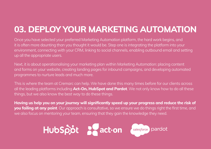#### **03. DEPLOY YOUR MARKETING AUTOMATION**

Once you have selected your preferred Marketing Automation platform, the hard work begins, and it is often more daunting than you thought it would be. Step one is integrating the platform into your environment, connecting with your CRM, linking to social channels, enabling outbound email and setting up all the appropriate users.

Next, it is about operationalising your marketing plan within Marketing Automation: placing content and forms on your website, creating landing pages for inbound campaigns, and developing automated programmes to nurture leads and much more.

This is where the team at Cremarc can help. We have done this many times before for our clients across all the leading platforms including **Act-On, HubSpot and Pardot**. We not only know how to do all these things, but we also know the best way to do these things.

**Having us help you on your journey will significantly speed up your progress and reduce the risk of you failing at any point**. Our approach is consultative, so we ensure we do things right the first time, and we also focus on mentoring your team, ensuring that they gain the knowledge they need.

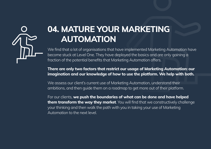#### **04. MATURE YOUR MARKETING AUTOMATION**

We find that a lot of organisations that have implemented Marketing Automation have become stuck at Level One. They have deployed the basics and are only gaining a fraction of the potential benefits that Marketing Automation offers.

**There are only two factors that restrict our usage of Marketing Automation: our imagination and our knowledge of how to use the platform. We help with both.**

We assess our client's current use of Marketing Automation, understand their ambitions, and then guide them on a roadmap to get more out of their platform.

For our clients, **we push the boundaries of what can be done and have helped them transform the way they market**. You will find that we constructively challenge your thinking and then walk the path with you in taking your use of Marketing Automation to the next level.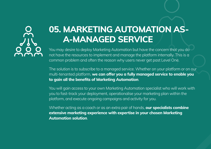

### **05. MARKETING AUTOMATION AS-A-MANAGED SERVICE**

You may desire to deploy Marketing Automation but have the concern that you do not have the resources to implement and manage the platform internally. This is a common problem and often the reason why users never get past Level One.

The solution is to subscribe to a managed service. Whether on your platform or on our multi-tenanted platform, **we can offer you a fully managed service to enable you to gain all the benefits of Marketing Automation**.

You will gain access to your own Marketing Automation specialist who will work with you to fast-track your deployment, operationalise your marketing plan within the platform, and execute ongoing campaigns and activity for you.

Whether acting as a coach or as an extra pair of hands, **our specialists combine extensive marketing experience with expertise in your chosen Marketing Automation solution**.